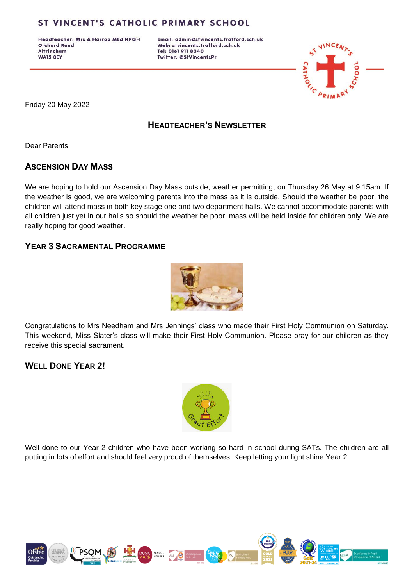Headteacher: Mrs A Harrop MEd NPQH **Orchard Road Altrincham WA15 8EY** 

Email: admin@stvincents.trafford.sch.uk Web: stvincents.trafford.sch.uk Tel: 0161 911 8040 Twitter: @StVincentsPr



Friday 20 May 2022

#### **HEADTEACHER'S NEWSLETTER**

Dear Parents,

#### **ASCENSION DAY MASS**

We are hoping to hold our Ascension Day Mass outside, weather permitting, on Thursday 26 May at 9:15am. If the weather is good, we are welcoming parents into the mass as it is outside. Should the weather be poor, the children will attend mass in both key stage one and two department halls. We cannot accommodate parents with all children just yet in our halls so should the weather be poor, mass will be held inside for children only. We are really hoping for good weather.

#### **YEAR 3 SACRAMENTAL PROGRAMME**



Congratulations to Mrs Needham and Mrs Jennings' class who made their First Holy Communion on Saturday. This weekend, Miss Slater's class will make their First Holy Communion. Please pray for our children as they receive this special sacrament.

## **WELL DONE YEAR 2!**



Well done to our Year 2 children who have been working so hard in school during SATs. The children are all putting in lots of effort and should feel very proud of themselves. Keep letting your light shine Year 2!

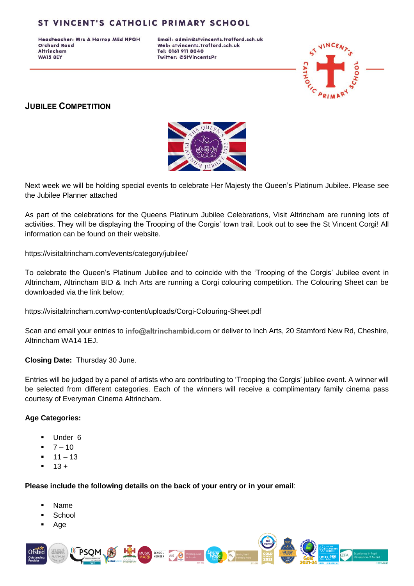Headteacher: Mrs A Harrop MEd NPQH **Orchard Road Altrincham WA15 8EY** 

Email: admin@stvincents.trafford.sch.uk Web: stvincents.trafford.sch.uk Tel: 0161 911 8040 Twitter: @StVincentsPr



# **JUBILEE COMPETITION**



Next week we will be holding special events to celebrate Her Majesty the Queen's Platinum Jubilee. Please see the Jubilee Planner attached

As part of the celebrations for the Queens Platinum Jubilee Celebrations, Visit Altrincham are running lots of activities. They will be displaying the Trooping of the Corgis' town trail. Look out to see the St Vincent Corgi! All information can be found on their website.

<https://visitaltrincham.com/events/category/jubilee/>

To celebrate the Queen's Platinum Jubilee and to coincide with the 'Trooping of the Corgis' Jubilee event in Altrincham, Altrincham BID & Inch Arts are running a Corgi colouring competition. The Colouring Sheet can be downloaded via the link below;

<https://visitaltrincham.com/wp-content/uploads/Corgi-Colouring-Sheet.pdf>

Scan and email your entries to info@altrinchambid.com or deliver to Inch Arts, 20 Stamford New Rd, Cheshire, Altrincham WA14 1EJ.

**Closing Date:** Thursday 30 June.

Entries will be judged by a panel of artists who are contributing to 'Trooping the Corgis' jubilee event. A winner will be selected from different categories. Each of the winners will receive a complimentary family cinema pass courtesy of Everyman Cinema Altrincham.

#### **Age Categories:**

- Under 6
- $7 10$
- $11 13$
- $-13 +$

**Please include the following details on the back of your entry or in your email**:

- Name
- **School**
- Age

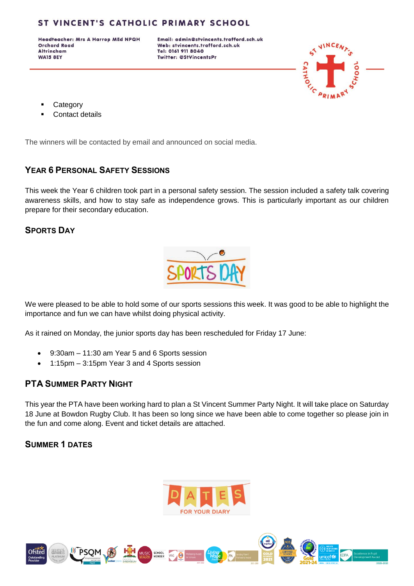Headteacher: Mrs A Harrop MEd NPQH **Orchard Road Altrincham WA15 8EY** 

Email: admin@stvincents.trafford.sch.uk Web: stvincents.trafford.sch.uk Tel: 0161 911 8040 Twitter: @StVincentsPr



- **Category**
- Contact details

The winners will be contacted by email and announced on social media.

## **YEAR 6 PERSONAL SAFETY SESSIONS**

This week the Year 6 children took part in a personal safety session. The session included a safety talk covering awareness skills, and how to stay safe as independence grows. This is particularly important as our children prepare for their secondary education.

## **SPORTS DAY**



We were pleased to be able to hold some of our sports sessions this week. It was good to be able to highlight the importance and fun we can have whilst doing physical activity.

As it rained on Monday, the junior sports day has been rescheduled for Friday 17 June:

- 9:30am 11:30 am Year 5 and 6 Sports session
- 1:15pm 3:15pm Year 3 and 4 Sports session

## **PTA SUMMER PARTY NIGHT**

This year the PTA have been working hard to plan a St Vincent Summer Party Night. It will take place on Saturday 18 June at Bowdon Rugby Club. It has been so long since we have been able to come together so please join in the fun and come along. Event and ticket details are attached.

## **SUMMER 1 DATES**



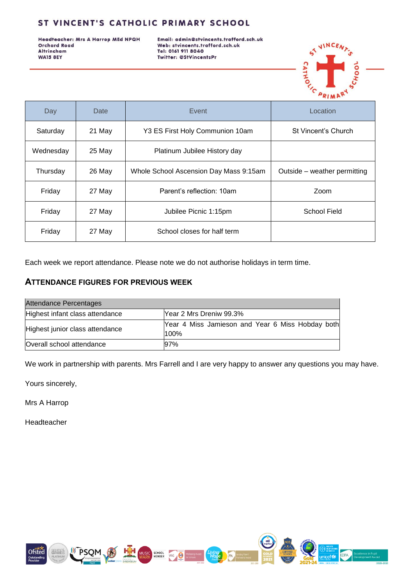Headteacher: Mrs A Harrop MEd NPQH **Orchard Road** Altrincham **WA15 8EY** 

Email: admin@stvincents.trafford.sch.uk Web: stvincents.trafford.sch.uk Tel: 0161 911 8040 Twitter: @StVincentsPr



| Day       | Date   | Event                                  | Location                     |
|-----------|--------|----------------------------------------|------------------------------|
| Saturday  | 21 May | Y3 ES First Holy Communion 10am        | St Vincent's Church          |
| Wednesday | 25 May | Platinum Jubilee History day           |                              |
| Thursday  | 26 May | Whole School Ascension Day Mass 9:15am | Outside - weather permitting |
| Friday    | 27 May | Parent's reflection: 10am              | Zoom                         |
| Friday    | 27 May | Jubilee Picnic 1:15pm                  | School Field                 |
| Friday    | 27 May | School closes for half term            |                              |

Each week we report attendance. Please note we do not authorise holidays in term time.

#### **ATTENDANCE FIGURES FOR PREVIOUS WEEK**

| Attendance Percentages          |                                                          |  |  |
|---------------------------------|----------------------------------------------------------|--|--|
| Highest infant class attendance | Year 2 Mrs Dreniw 99.3%                                  |  |  |
| Highest junior class attendance | Year 4 Miss Jamieson and Year 6 Miss Hobday both<br>100% |  |  |
| Overall school attendance       | 97%                                                      |  |  |

We work in partnership with parents. Mrs Farrell and I are very happy to answer any questions you may have.

Yours sincerely,

Mrs A Harrop

Headteacher